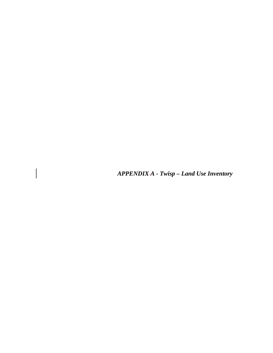*APPENDIX A - Twisp – Land Use Inventory* 

 $\begin{array}{c} \end{array}$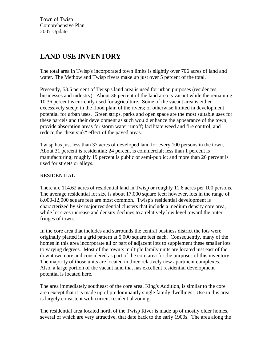Town of Twisp Comprehensive Plan 2007 Update

# **LAND USE INVENTORY**

The total area in Twisp's incorporated town limits is slightly over 706 acres of land and water. The Methow and Twisp rivers make up just over 5 percent of the total.

Presently, 53.5 percent of Twisp's land area is used for urban purposes (residences, businesses and industry). About 36 percent of the land area is vacant while the remaining 10.36 percent is currently used for agriculture. Some of the vacant area is either excessively steep; in the flood plain of the rivers; or otherwise limited in development potential for urban uses. Green strips, parks and open space are the most suitable uses for these parcels and their development as such would enhance the appearance of the town; provide absorption areas for storm water runoff; facilitate weed and fire control; and reduce the "heat sink" effect of the paved areas.

Twisp has just less than 37 acres of developed land for every 100 persons in the town. About 31 percent is residential; 24 percent is commercial; less than 1 percent is manufacturing; roughly 19 percent is public or semi-public; and more than 26 percent is used for streets or alleys.

# RESIDENTIAL

There are 114.62 acres of residential land in Twisp or roughly 11.6 acres per 100 persons. The average residential lot size is about 17,000 square feet; however, lots in the range of 8,000-12,000 square feet are most common. Twisp's residential development is characterized by six major residential clusters that include a medium density core area, while lot sizes increase and density declines to a relatively low level toward the outer fringes of town.

In the core area that includes and surrounds the central business district the lots were originally platted in a grid pattern at 5,000 square feet each. Consequently, many of the homes in this area incorporate all or part of adjacent lots to supplement these smaller lots to varying degrees. Most of the town's multiple family units are located just east of the downtown core and considered as part of the core area for the purposes of this inventory. The majority of those units are located in three relatively new apartment complexes. Also, a large portion of the vacant land that has excellent residential development potential is located here.

The area immediately southeast of the core area, King's Addition, is similar to the core area except that it is made up of predominantly single family dwellings. Use in this area is largely consistent with current residential zoning.

The residential area located north of the Twisp River is made up of mostly older homes, several of which are very attractive, that date back to the early 1900s. The area along the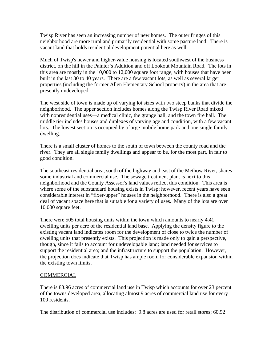Twisp River has seen an increasing number of new homes. The outer fringes of this neighborhood are more rural and primarily residential with some pasture land. There is vacant land that holds residential development potential here as well.

Much of Twisp's newer and higher-value housing is located southwest of the business district, on the hill in the Painter's Addition and off Lookout Mountain Road. The lots in this area are mostly in the 10,000 to 12,000 square foot range, with houses that have been built in the last 30 to 40 years. There are a few vacant lots, as well as several larger properties (including the former Allen Elementary School property) in the area that are presently undeveloped.

The west side of town is made up of varying lot sizes with two steep banks that divide the neighborhood. The upper section includes homes along the Twisp River Road mixed with nonresidential uses—a medical clinic, the grange hall, and the town fire hall. The middle tier includes houses and duplexes of varying age and condition, with a few vacant lots. The lowest section is occupied by a large mobile home park and one single family dwelling.

There is a small cluster of homes to the south of town between the county road and the river. They are all single family dwellings and appear to be, for the most part, in fair to good condition.

The southeast residential area, south of the highway and east of the Methow River, shares some industrial and commercial use. The sewage treatment plant is next to this neighborhood and the County Assessor's land values reflect this condition. This area is where some of the substandard housing exists in Twisp; however, recent years have seen considerable interest in "fixer-upper" houses in the neighborhood. There is also a great deal of vacant space here that is suitable for a variety of uses. Many of the lots are over 10,000 square feet.

There were 505 total housing units within the town which amounts to nearly 4.41 dwelling units per acre of the residential land base. Applying the density figure to the existing vacant land indicates room for the development of close to twice the number of dwelling units that presently exists. This projection is made only to gain a perspective, though, since it fails to account for undevelopable land; land needed for services to support the residential area; and the infrastructure to support the population. However, the projection does indicate that Twisp has ample room for considerable expansion within the existing town limits.

# COMMERCIAL

There is 83.96 acres of commercial land use in Twisp which accounts for over 23 percent of the towns developed area, allocating almost 9 acres of commercial land use for every 100 residents.

The distribution of commercial use includes: 9.8 acres are used for retail stores; 60.92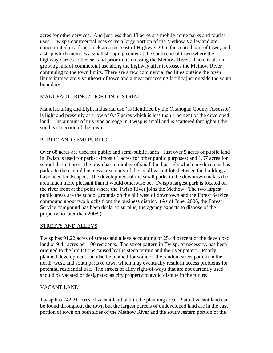acres for other services. And just less than 13 acres are mobile home parks and tourist uses. Twisp's commercial uses serve a large portion of the Methow Valley and are concentrated in a four-block area just east of Highway 20 in the central part of town, and a strip which includes a small shopping center at the south end of town where the highway curves to the east and prior to its crossing the Methow River. There is also a growing mix of commercial use along the highway after it crosses the Methow River continuing to the town limits. There are a few commercial facilities outside the town limits immediately southeast of town and a meat processing facility just outside the south boundary.

# MANUFACTURING / LIGHT INDUSTRIAL

Manufacturing and Light Industrial use (as identified by the Okanogan County Assessor) is light and presently at a low of 0.47 acres which is less than 1 percent of the developed land. The amount of this type acreage in Twisp is small and is scattered throughout the southeast section of the town.

#### PUBLIC AND SEMI-PUBLIC

Over 68 acres are used for public and semi-public lands. Just over 5 acres of public land in Twisp is used for parks; almost 61 acres for other public purposes; and 1.97 acres for school district use. The town has a number of small land parcels which are developed as parks. In the central business area many of the small vacant lots between the buildings have been landscaped. The development of the small parks in the downtown makes the area much more pleasant than it would otherwise be. Twisp's largest park is located on the river front at the point where the Twisp River joins the Methow. The two largest public areas are the school grounds on the hill west of downtown and the Forest Service compound about two blocks from the business district. (As of June, 2006, the Forest Service compound has been declared surplus; the agency expects to dispose of the property no later than 2008.)

# STREETS AND ALLEYS

Twisp has 91.22 acres of streets and alleys accounting of 25.44 percent of the developed land or 9.44 acres per 100 residents. The street pattern in Twisp, of necessity, has been oriented to the limitations caused by the steep terrain and the river pattern. Poorly planned development can also be blamed for some of the random street pattern in the north, west, and south parts of town which may eventually result in access problems for potential residential use. The streets of alley right-of-ways that are not currently used should be vacated or designated as city property to avoid dispute in the future.

# VACANT LAND

Twisp has 242.21 acres of vacant land within the planning area. Platted vacant land can be found throughout the town but the largest parcels of undeveloped land are in the east portion of town on both sides of the Methow River and the southwestern portion of the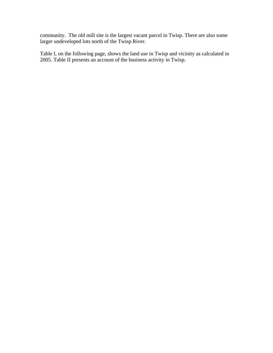community. The old mill site is the largest vacant parcel in Twisp. There are also some larger undeveloped lots north of the Twisp River.

Table I, on the following page, shows the land use in Twisp and vicinity as calculated in 2005. Table II presents an account of the business activity in Twisp.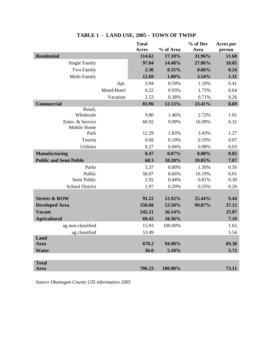|                                 |             | <b>Total</b><br><b>Acres</b> | % of Area | % of Dev<br>Area | Acres per<br>person |
|---------------------------------|-------------|------------------------------|-----------|------------------|---------------------|
| <b>Residential</b>              |             | 114.62                       | 17.10%    | 31.96%           | 11.60               |
| <b>Single Family</b>            |             | 97.04                        | 14.48%    | 27.06%           | 10.05               |
| Two Family                      |             | 2.36                         | 0.35%     | 0.66%            | 0.24                |
| Multi-Family                    |             | 12.69                        | 1.89%     | 3.54%            | 1.31                |
|                                 | Apt.        | 3.94                         | 0.59%     | 1.10%            | 0.41                |
|                                 | Motel/Hotel | 6.22                         | 0.93%     | 1.73%            | 0.64                |
|                                 | Vacation    | 2.53                         | 0.38%     | 0.71%            | 0.26                |
| <b>Commercial</b>               |             | 83.96                        | 12.53%    | 23.41%           | 8.69                |
| Retail,                         |             |                              |           |                  |                     |
| Wholesale                       |             | 9.80                         | 1.46%     | 2.73%            | 1.01                |
| Enter. & Service<br>Mobile Home |             | 60.92                        | 9.09%     | 16.99%           | 6.31                |
| Park                            |             | 12.29                        | 1.83%     | 3.43%            | 1.27                |
| Tourist                         |             | 0.68                         | 0.10%     | 0.19%            | 0.07                |
| Utilities                       |             | 0.27                         | 0.04%     | 0.08%            | 0.03                |
| <b>Manufacturing</b>            |             | 0.47                         | 0.07%     | $0.00\%$         | 0.05                |
| <b>Public and Semi Public</b>   |             | 68.3                         | 10.20%    | 19.05%           | 7.07                |
| Parks                           |             | 5.37                         | 0.80%     | 1.50%            | 0.56                |
| Public                          |             | 58.07                        | 8.66%     | 16.19%           | 6.01                |
| Semi Public                     |             | 2.92                         | 0.44%     | 0.81%            | 0.30                |
| <b>School District</b>          |             | 1.97                         | 0.29%     | 0.55%            | 0.20                |
|                                 |             |                              |           |                  |                     |
| <b>Streets &amp; ROW</b>        |             | 91.22                        | 12.92%    | 25.44%           | 9.44                |
| <b>Developed Area</b>           |             | 358.60                       | 53.50%    | 99.87%           | 37.12               |
| <b>Vacant</b>                   |             | 242.21                       | 36.14%    |                  | 25.07               |
| <b>Agricultural</b>             |             | 69.42                        | 10.36%    |                  | 7.19                |
| ag non-classified               |             | 15.93                        | 100.00%   |                  | 1.65                |
| ag classified                   |             | 53.49                        |           |                  | 5.54                |
| Land<br><b>Area</b>             |             | 670.2                        | 94.90%    |                  | 69.38               |
| Water                           |             | 36.0                         | 5.10%     |                  | 3.73                |
|                                 |             |                              |           |                  |                     |
| <b>Total</b>                    |             |                              |           |                  |                     |
| <b>Area</b>                     |             | 706.23                       | 100.00%   |                  | 73.11               |

# **TABLE 1 - LAND USE, 2005 – TOWN OF TWISP**

*Source Okanogan County GIS information 2005*